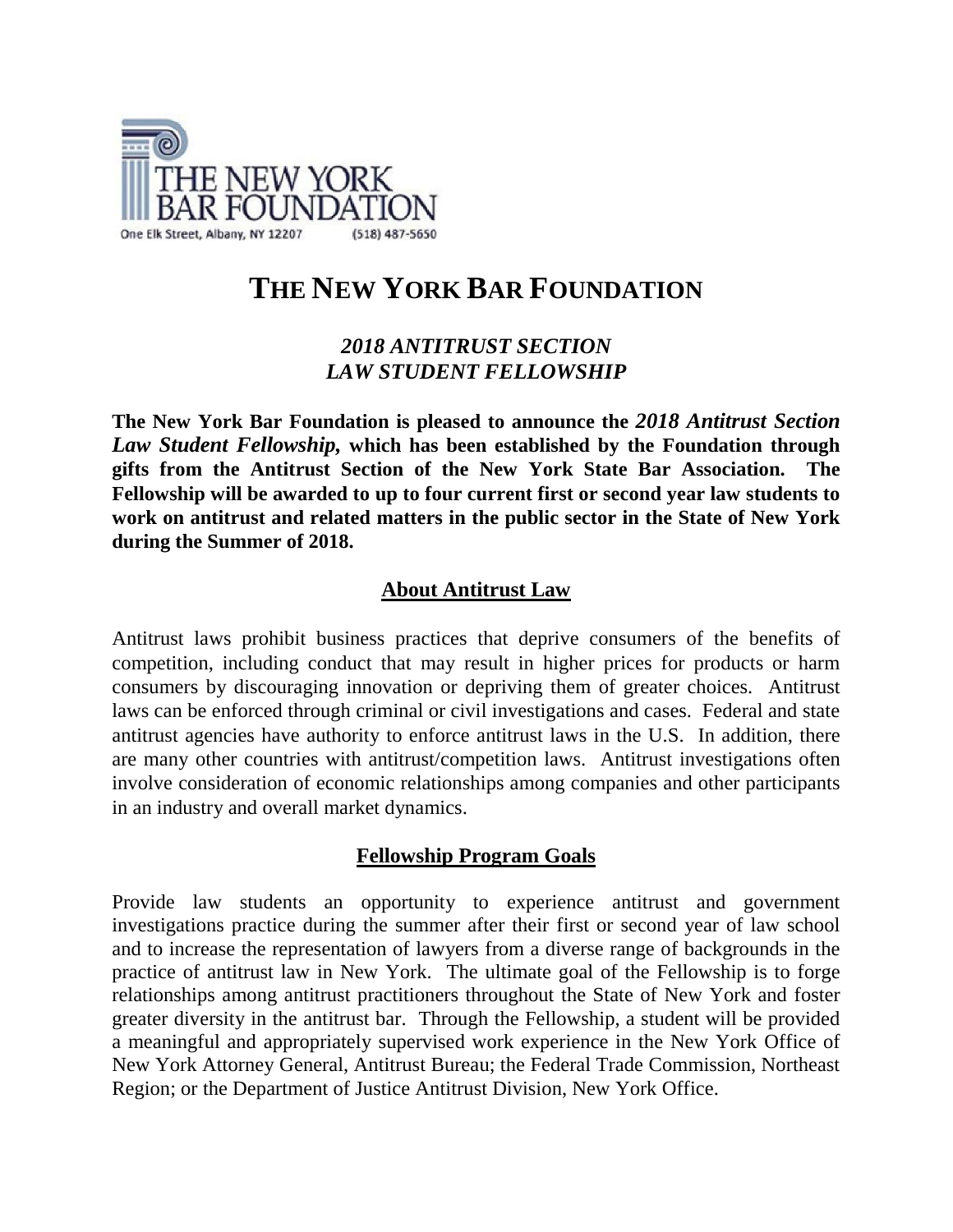

# **THE NEW YORK BAR FOUNDATION**

# *2018 ANTITRUST SECTION LAW STUDENT FELLOWSHIP*

**The New York Bar Foundation is pleased to announce the** *2018 Antitrust Section Law Student Fellowship,* **which has been established by the Foundation through gifts from the Antitrust Section of the New York State Bar Association. The Fellowship will be awarded to up to four current first or second year law students to work on antitrust and related matters in the public sector in the State of New York during the Summer of 2018.**

# **About Antitrust Law**

Antitrust laws prohibit business practices that deprive consumers of the benefits of competition, including conduct that may result in higher prices for products or harm consumers by discouraging innovation or depriving them of greater choices. Antitrust laws can be enforced through criminal or civil investigations and cases. Federal and state antitrust agencies have authority to enforce antitrust laws in the U.S. In addition, there are many other countries with antitrust/competition laws. Antitrust investigations often involve consideration of economic relationships among companies and other participants in an industry and overall market dynamics.

## **Fellowship Program Goals**

Provide law students an opportunity to experience antitrust and government investigations practice during the summer after their first or second year of law school and to increase the representation of lawyers from a diverse range of backgrounds in the practice of antitrust law in New York. The ultimate goal of the Fellowship is to forge relationships among antitrust practitioners throughout the State of New York and foster greater diversity in the antitrust bar. Through the Fellowship, a student will be provided a meaningful and appropriately supervised work experience in the New York Office of New York Attorney General, Antitrust Bureau; the Federal Trade Commission, Northeast Region; or the Department of Justice Antitrust Division, New York Office.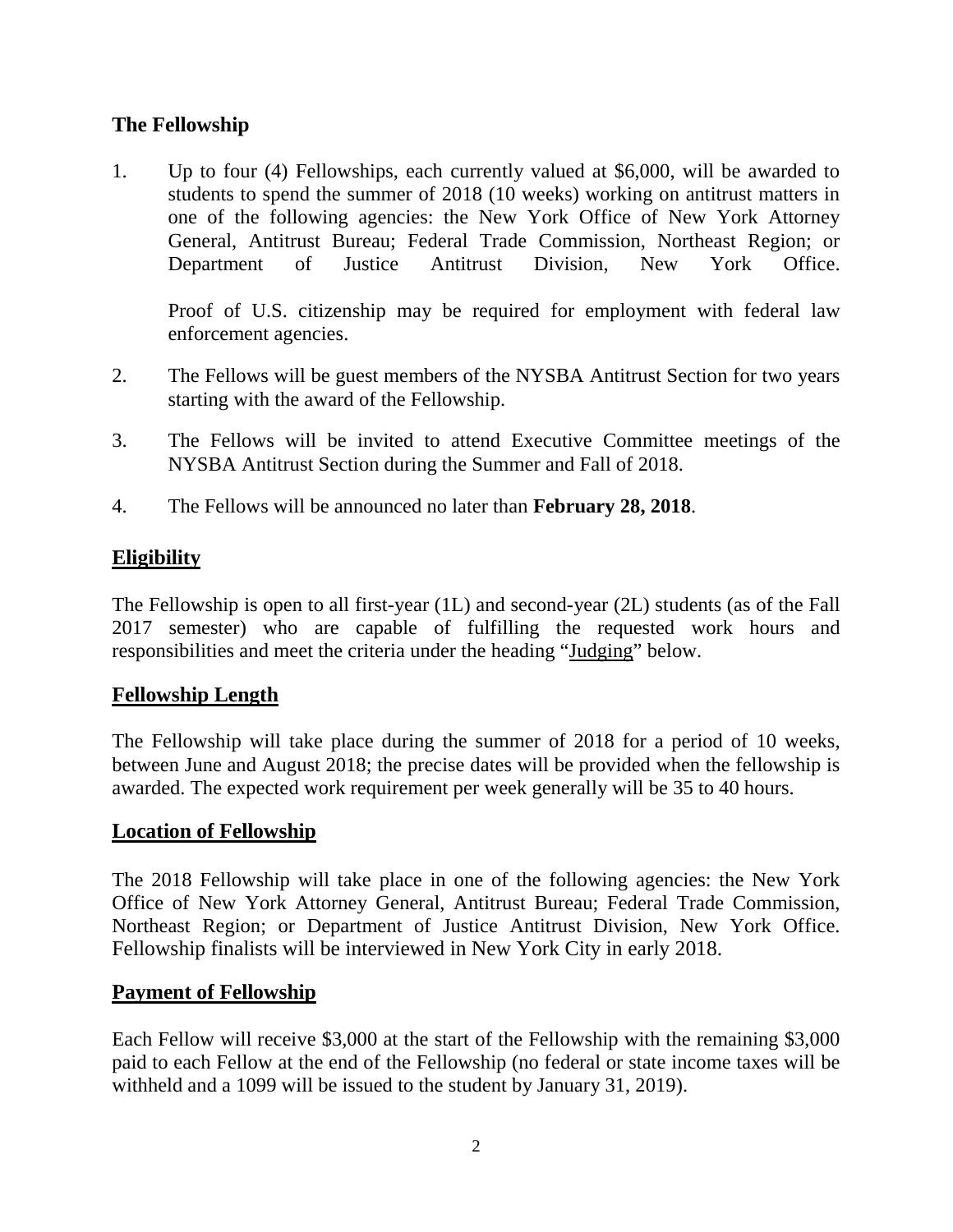# **The Fellowship**

1. Up to four (4) Fellowships, each currently valued at \$6,000, will be awarded to students to spend the summer of 2018 (10 weeks) working on antitrust matters in one of the following agencies: the New York Office of New York Attorney General, Antitrust Bureau; Federal Trade Commission, Northeast Region; or Department of Justice Antitrust Division, New York Office.

Proof of U.S. citizenship may be required for employment with federal law enforcement agencies.

- 2. The Fellows will be guest members of the NYSBA Antitrust Section for two years starting with the award of the Fellowship.
- 3. The Fellows will be invited to attend Executive Committee meetings of the NYSBA Antitrust Section during the Summer and Fall of 2018.
- 4. The Fellows will be announced no later than **February 28, 2018**.

# **Eligibility**

The Fellowship is open to all first-year (1L) and second-year (2L) students (as of the Fall 2017 semester) who are capable of fulfilling the requested work hours and responsibilities and meet the criteria under the heading "Judging" below.

## **Fellowship Length**

The Fellowship will take place during the summer of 2018 for a period of 10 weeks, between June and August 2018; the precise dates will be provided when the fellowship is awarded. The expected work requirement per week generally will be 35 to 40 hours.

## **Location of Fellowship**

The 2018 Fellowship will take place in one of the following agencies: the New York Office of New York Attorney General, Antitrust Bureau; Federal Trade Commission, Northeast Region; or Department of Justice Antitrust Division, New York Office. Fellowship finalists will be interviewed in New York City in early 2018.

## **Payment of Fellowship**

Each Fellow will receive \$3,000 at the start of the Fellowship with the remaining \$3,000 paid to each Fellow at the end of the Fellowship (no federal or state income taxes will be withheld and a 1099 will be issued to the student by January 31, 2019).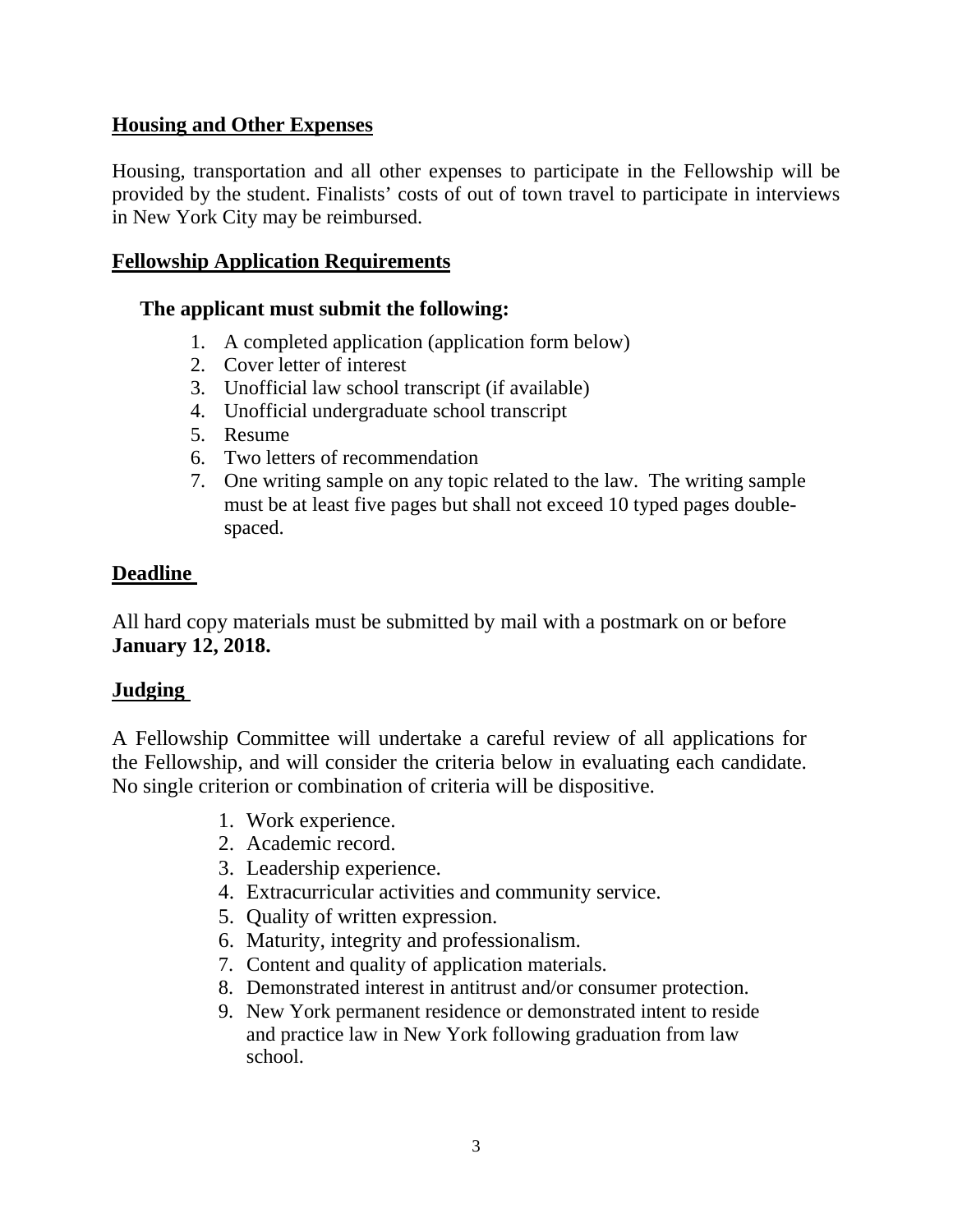# **Housing and Other Expenses**

Housing, transportation and all other expenses to participate in the Fellowship will be provided by the student. Finalists' costs of out of town travel to participate in interviews in New York City may be reimbursed.

## **Fellowship Application Requirements**

## **The applicant must submit the following:**

- 1. A completed application (application form below)
- 2. Cover letter of interest
- 3. Unofficial law school transcript (if available)
- 4. Unofficial undergraduate school transcript
- 5. Resume
- 6. Two letters of recommendation
- 7. One writing sample on any topic related to the law. The writing sample must be at least five pages but shall not exceed 10 typed pages doublespaced.

# **Deadline**

All hard copy materials must be submitted by mail with a postmark on or before **January 12, 2018.**

# **Judging**

A Fellowship Committee will undertake a careful review of all applications for the Fellowship, and will consider the criteria below in evaluating each candidate. No single criterion or combination of criteria will be dispositive.

- 1. Work experience.
- 2. Academic record.
- 3. Leadership experience.
- 4. Extracurricular activities and community service.
- 5. Quality of written expression.
- 6. Maturity, integrity and professionalism.
- 7. Content and quality of application materials.
- 8. Demonstrated interest in antitrust and/or consumer protection.
- 9. New York permanent residence or demonstrated intent to reside and practice law in New York following graduation from law school.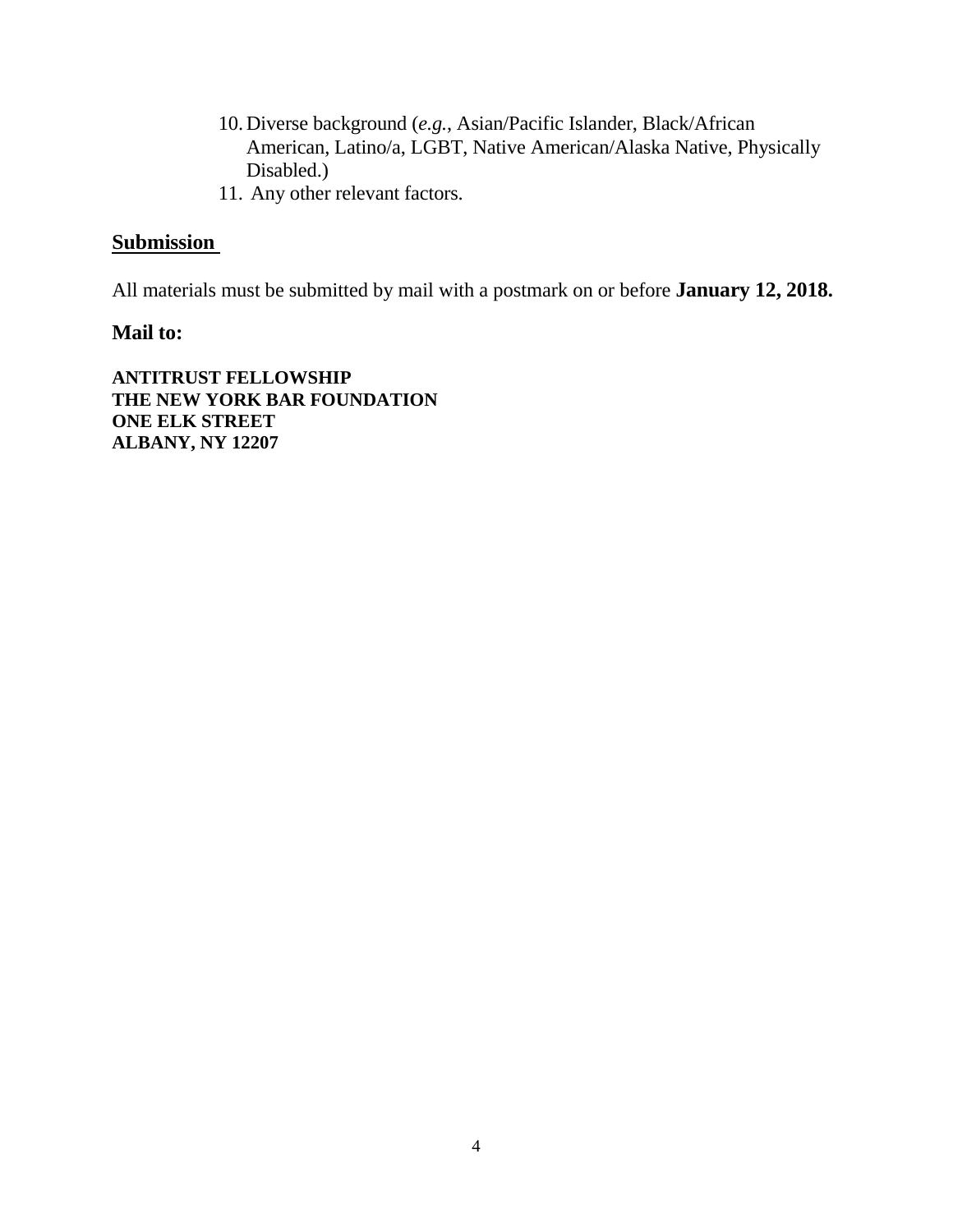- 10. Diverse background (*e.g.*, Asian/Pacific Islander, Black/African American, Latino/a, LGBT, Native American/Alaska Native, Physically Disabled.)
- 11. Any other relevant factors.

# **Submission**

All materials must be submitted by mail with a postmark on or before **January 12, 2018.**

## **Mail to:**

**ANTITRUST FELLOWSHIP THE NEW YORK BAR FOUNDATION ONE ELK STREET ALBANY, NY 12207**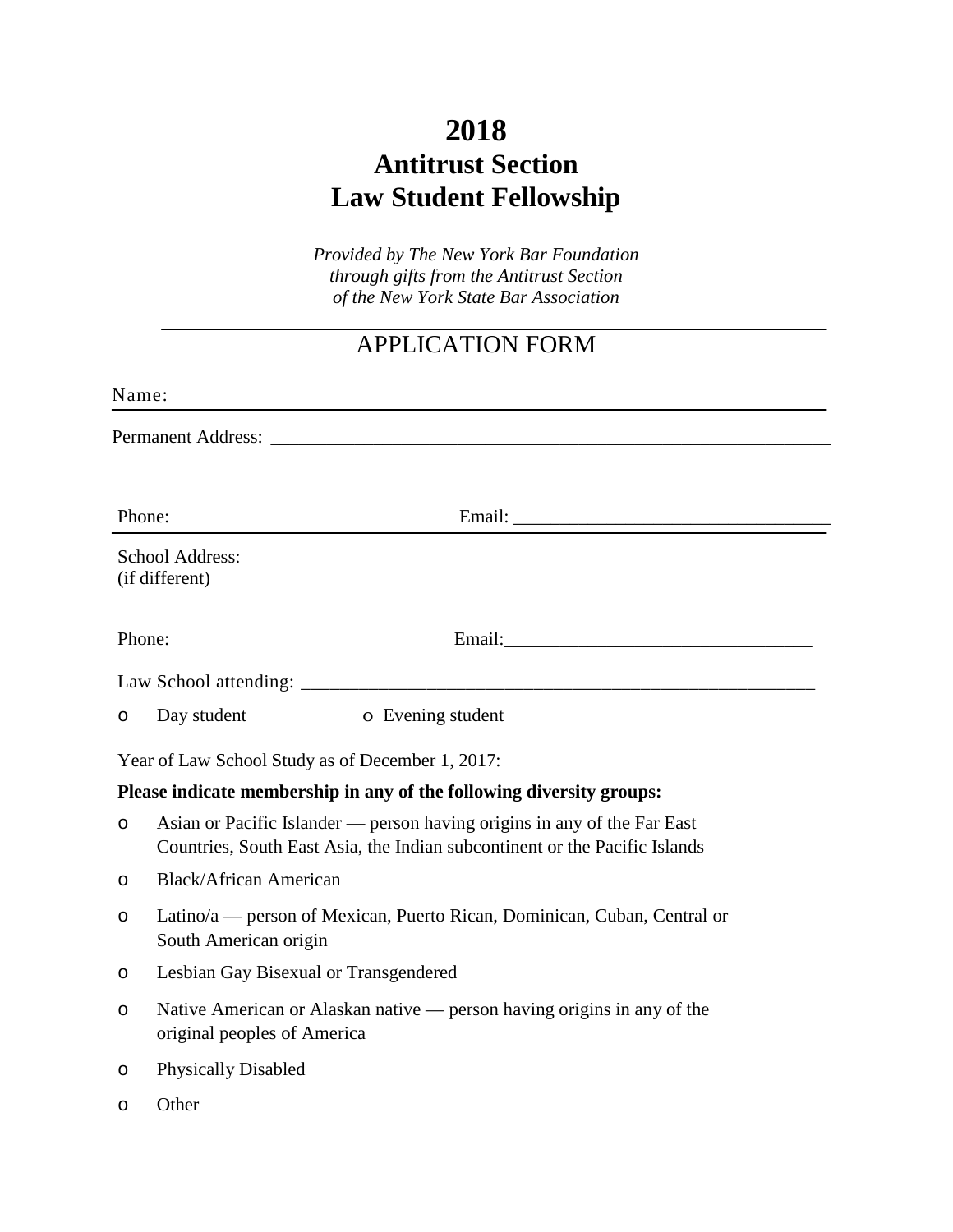# **2018 Antitrust Section Law Student Fellowship**

*Provided by The New York Bar Foundation through gifts from the Antitrust Section of the New York State Bar Association*

# APPLICATION FORM

| Name:                                                                |                                                                                                                                                        |  |  |  |  |
|----------------------------------------------------------------------|--------------------------------------------------------------------------------------------------------------------------------------------------------|--|--|--|--|
|                                                                      |                                                                                                                                                        |  |  |  |  |
|                                                                      |                                                                                                                                                        |  |  |  |  |
| Phone:                                                               | Email:                                                                                                                                                 |  |  |  |  |
|                                                                      | School Address:<br>(if different)                                                                                                                      |  |  |  |  |
| Phone:                                                               |                                                                                                                                                        |  |  |  |  |
|                                                                      |                                                                                                                                                        |  |  |  |  |
| $\circ$                                                              | Day student<br>o Evening student                                                                                                                       |  |  |  |  |
| Year of Law School Study as of December 1, 2017:                     |                                                                                                                                                        |  |  |  |  |
| Please indicate membership in any of the following diversity groups: |                                                                                                                                                        |  |  |  |  |
| $\circ$                                                              | Asian or Pacific Islander — person having origins in any of the Far East<br>Countries, South East Asia, the Indian subcontinent or the Pacific Islands |  |  |  |  |
| O                                                                    | <b>Black/African American</b>                                                                                                                          |  |  |  |  |
| O                                                                    | Latino/a — person of Mexican, Puerto Rican, Dominican, Cuban, Central or<br>South American origin                                                      |  |  |  |  |
| $\circ$                                                              | Lesbian Gay Bisexual or Transgendered                                                                                                                  |  |  |  |  |
| O                                                                    | Native American or Alaskan native — person having origins in any of the<br>original peoples of America                                                 |  |  |  |  |
| O                                                                    | <b>Physically Disabled</b>                                                                                                                             |  |  |  |  |
| O                                                                    | Other                                                                                                                                                  |  |  |  |  |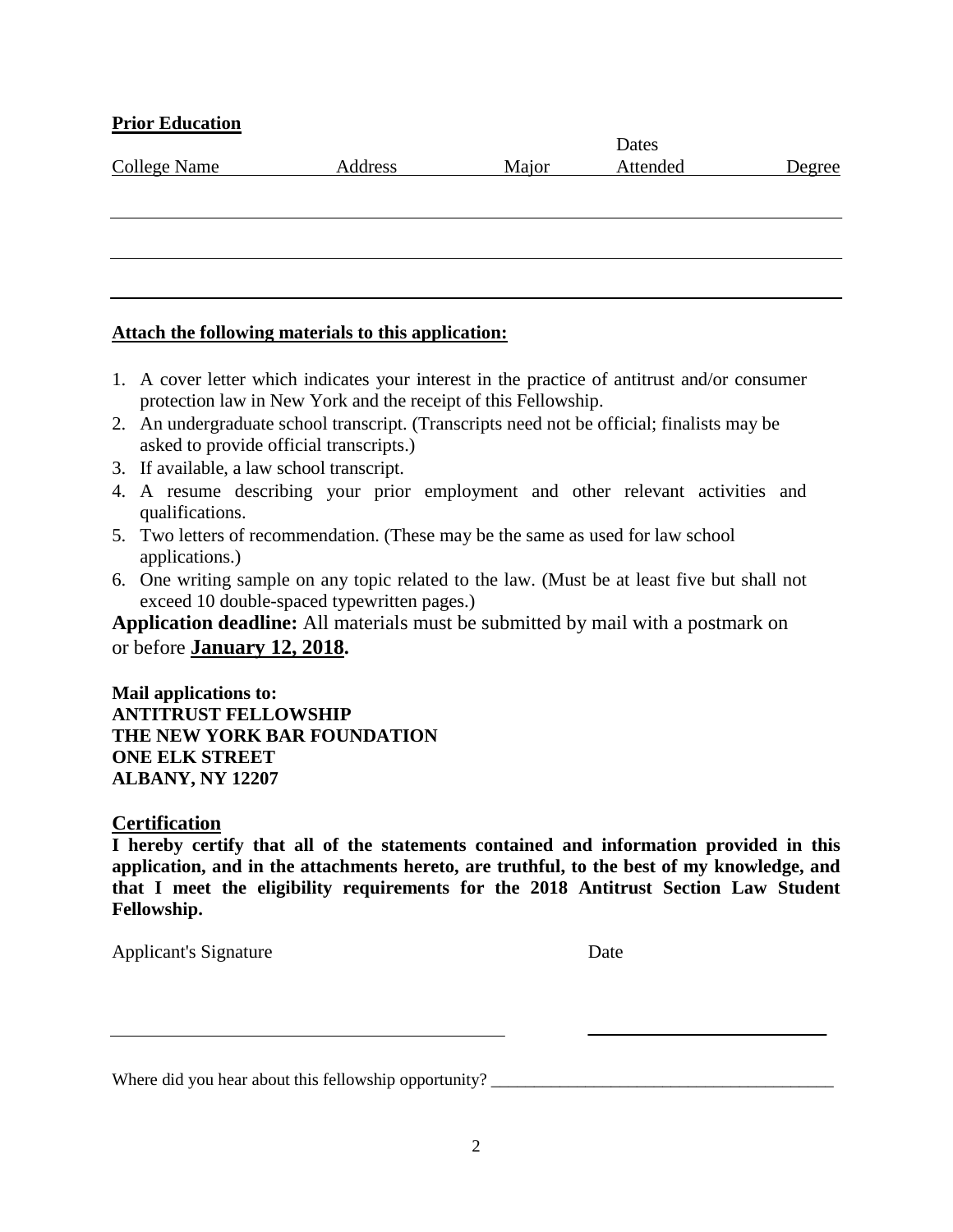#### **Prior Education**

|                     |         |       | Dates    |        |  |
|---------------------|---------|-------|----------|--------|--|
| <b>College Name</b> | Address | Major | Attended | Degree |  |
|                     |         |       |          |        |  |
|                     |         |       |          |        |  |
|                     |         |       |          |        |  |
|                     |         |       |          |        |  |
|                     |         |       |          |        |  |
|                     |         |       |          |        |  |

#### **Attach the following materials to this application:**

- 1. A cover letter which indicates your interest in the practice of antitrust and/or consumer protection law in New York and the receipt of this Fellowship.
- 2. An undergraduate school transcript. (Transcripts need not be official; finalists may be asked to provide official transcripts.)
- 3. If available, a law school transcript.
- 4. A resume describing your prior employment and other relevant activities and qualifications.
- 5. Two letters of recommendation. (These may be the same as used for law school applications.)
- 6. One writing sample on any topic related to the law. (Must be at least five but shall not exceed 10 double-spaced typewritten pages.)

**Application deadline:** All materials must be submitted by mail with a postmark on or before **January 12, 2018.**

**Mail applications to: ANTITRUST FELLOWSHIP THE NEW YORK BAR FOUNDATION ONE ELK STREET ALBANY, NY 12207**

#### **Certification**

**I hereby certify that all of the statements contained and information provided in this application, and in the attachments hereto, are truthful, to the best of my knowledge, and that I meet the eligibility requirements for the 2018 Antitrust Section Law Student Fellowship.**

Applicant's Signature Date

Where did you hear about this fellowship opportunity? \_\_\_\_\_\_\_\_\_\_\_\_\_\_\_\_\_\_\_\_\_\_\_\_\_\_\_\_\_\_\_\_\_\_\_\_\_\_\_\_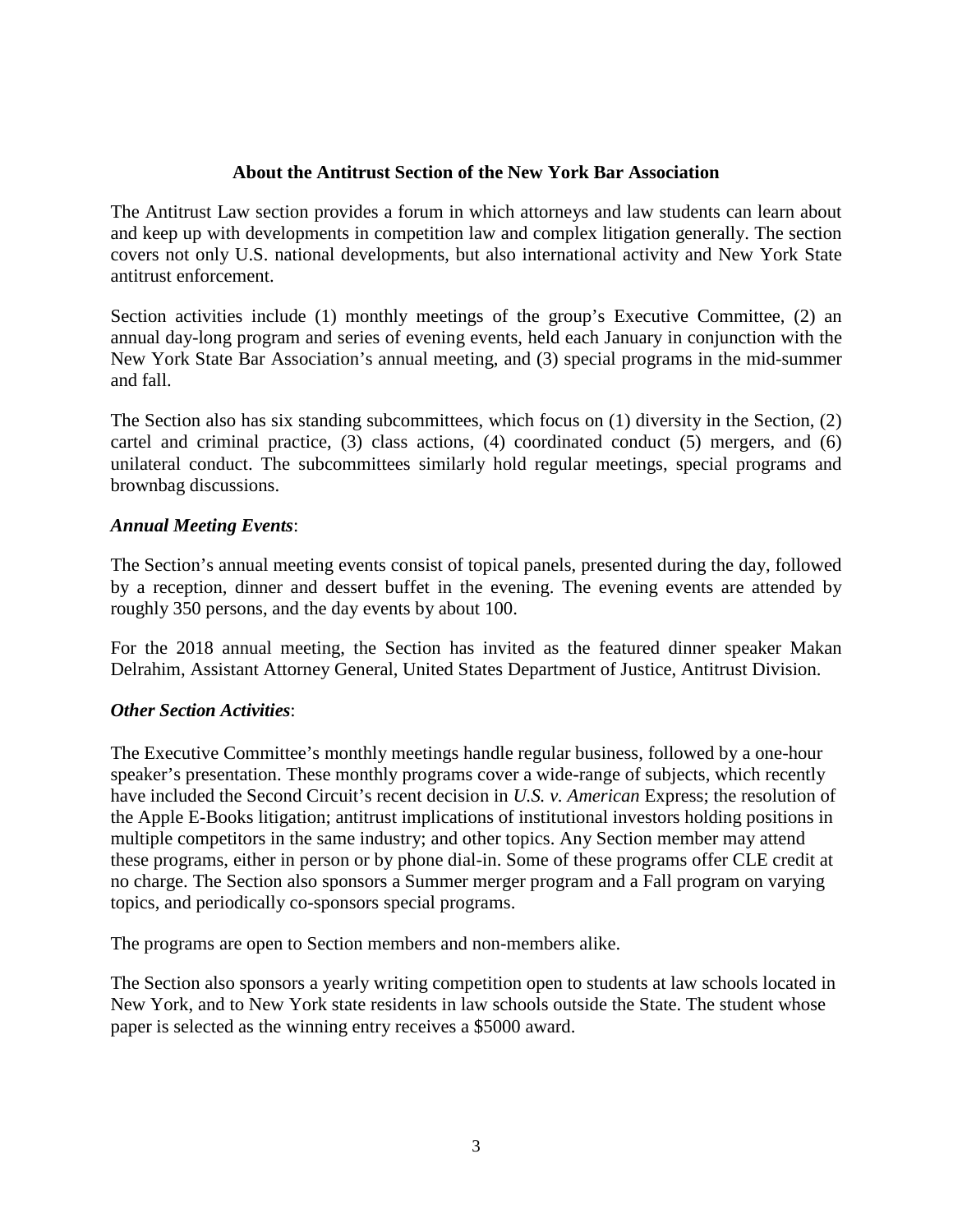#### **About the Antitrust Section of the New York Bar Association**

The Antitrust Law section provides a forum in which attorneys and law students can learn about and keep up with developments in competition law and complex litigation generally. The section covers not only U.S. national developments, but also international activity and New York State antitrust enforcement.

Section activities include (1) monthly meetings of the group's Executive Committee, (2) an annual day-long program and series of evening events, held each January in conjunction with the New York State Bar Association's annual meeting, and (3) special programs in the mid-summer and fall.

The Section also has six standing subcommittees, which focus on (1) diversity in the Section, (2) cartel and criminal practice, (3) class actions, (4) coordinated conduct (5) mergers, and (6) unilateral conduct. The subcommittees similarly hold regular meetings, special programs and brownbag discussions.

#### *Annual Meeting Events*:

The Section's annual meeting events consist of topical panels, presented during the day, followed by a reception, dinner and dessert buffet in the evening. The evening events are attended by roughly 350 persons, and the day events by about 100.

For the 2018 annual meeting, the Section has invited as the featured dinner speaker Makan Delrahim, Assistant Attorney General, United States Department of Justice, Antitrust Division.

#### *Other Section Activities*:

The Executive Committee's monthly meetings handle regular business, followed by a one-hour speaker's presentation. These monthly programs cover a wide-range of subjects, which recently have included the Second Circuit's recent decision in *U.S. v. American* Express; the resolution of the Apple E-Books litigation; antitrust implications of institutional investors holding positions in multiple competitors in the same industry; and other topics. Any Section member may attend these programs, either in person or by phone dial-in. Some of these programs offer CLE credit at no charge. The Section also sponsors a Summer merger program and a Fall program on varying topics, and periodically co-sponsors special programs.

The programs are open to Section members and non-members alike.

The Section also sponsors a yearly writing competition open to students at law schools located in New York, and to New York state residents in law schools outside the State. The student whose paper is selected as the winning entry receives a \$5000 award.